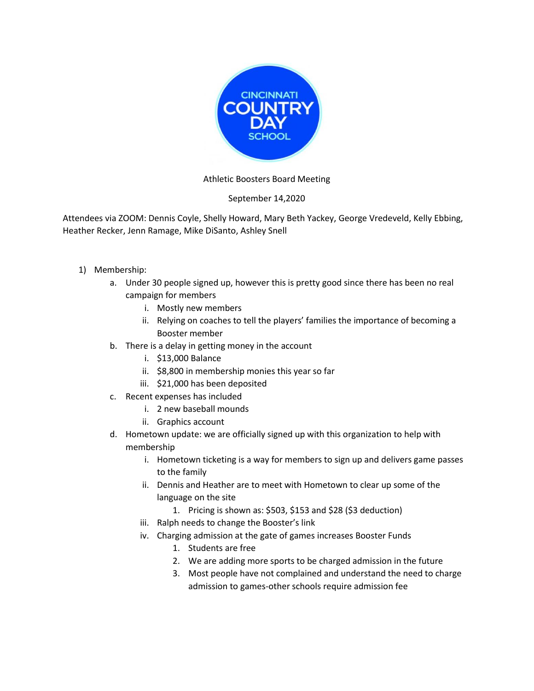

## Athletic Boosters Board Meeting

## September 14,2020

Attendees via ZOOM: Dennis Coyle, Shelly Howard, Mary Beth Yackey, George Vredeveld, Kelly Ebbing, Heather Recker, Jenn Ramage, Mike DiSanto, Ashley Snell

- 1) Membership:
	- a. Under 30 people signed up, however this is pretty good since there has been no real campaign for members
		- i. Mostly new members
		- ii. Relying on coaches to tell the players' families the importance of becoming a Booster member
	- b. There is a delay in getting money in the account
		- i. \$13,000 Balance
		- ii. \$8,800 in membership monies this year so far
		- iii. \$21,000 has been deposited
	- c. Recent expenses has included
		- i. 2 new baseball mounds
		- ii. Graphics account
	- d. Hometown update: we are officially signed up with this organization to help with membership
		- i. Hometown ticketing is a way for members to sign up and delivers game passes to the family
		- ii. Dennis and Heather are to meet with Hometown to clear up some of the language on the site
			- 1. Pricing is shown as: \$503, \$153 and \$28 (\$3 deduction)
		- iii. Ralph needs to change the Booster's link
		- iv. Charging admission at the gate of games increases Booster Funds
			- 1. Students are free
			- 2. We are adding more sports to be charged admission in the future
			- 3. Most people have not complained and understand the need to charge admission to games-other schools require admission fee